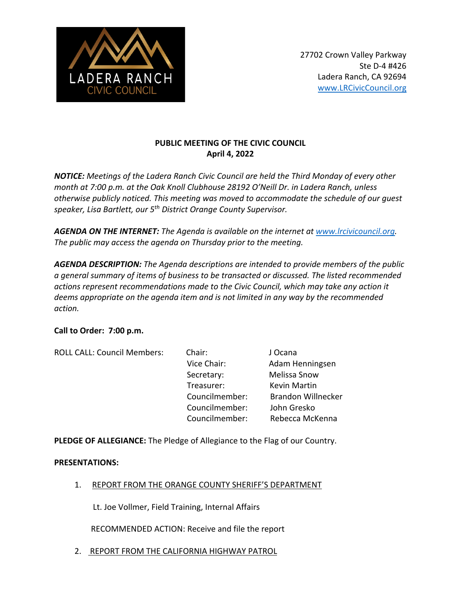

# **PUBLIC MEETING OF THE CIVIC COUNCIL April 4, 2022**

*NOTICE: Meetings of the Ladera Ranch Civic Council are held the Third Monday of every other month at 7:00 p.m. at the Oak Knoll Clubhouse 28192 O'Neill Dr. in Ladera Ranch, unless otherwise publicly noticed. This meeting was moved to accommodate the schedule of our guest speaker, Lisa Bartlett, our 5th District Orange County Supervisor.*

*AGENDA ON THE INTERNET: The Agenda is available on the internet at www.lrcivicouncil.org. The public may access the agenda on Thursday prior to the meeting.*

*AGENDA DESCRIPTION: The Agenda descriptions are intended to provide members of the public a general summary of items of business to be transacted or discussed. The listed recommended actions represent recommendations made to the Civic Council, which may take any action it deems appropriate on the agenda item and is not limited in any way by the recommended action.* 

## **Call to Order: 7:00 p.m.**

| <b>ROLL CALL: Council Members:</b> | Chair:         | J Ocana                   |
|------------------------------------|----------------|---------------------------|
|                                    | Vice Chair:    | Adam Henningsen           |
|                                    | Secretary:     | Melissa Snow              |
|                                    | Treasurer:     | <b>Kevin Martin</b>       |
|                                    | Councilmember: | <b>Brandon Willnecker</b> |
|                                    | Councilmember: | John Gresko               |
|                                    | Councilmember: | Rebecca McKenna           |

**PLEDGE OF ALLEGIANCE:** The Pledge of Allegiance to the Flag of our Country.

## **PRESENTATIONS:**

1. REPORT FROM THE ORANGE COUNTY SHERIFF'S DEPARTMENT

Lt. Joe Vollmer, Field Training, Internal Affairs

RECOMMENDED ACTION: Receive and file the report

2. REPORT FROM THE CALIFORNIA HIGHWAY PATROL